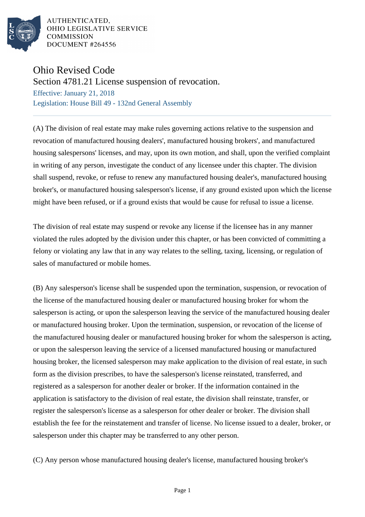

AUTHENTICATED. OHIO LEGISLATIVE SERVICE **COMMISSION** DOCUMENT #264556

## Ohio Revised Code

Section 4781.21 License suspension of revocation.

Effective: January 21, 2018 Legislation: House Bill 49 - 132nd General Assembly

(A) The division of real estate may make rules governing actions relative to the suspension and revocation of manufactured housing dealers', manufactured housing brokers', and manufactured housing salespersons' licenses, and may, upon its own motion, and shall, upon the verified complaint in writing of any person, investigate the conduct of any licensee under this chapter. The division shall suspend, revoke, or refuse to renew any manufactured housing dealer's, manufactured housing broker's, or manufactured housing salesperson's license, if any ground existed upon which the license might have been refused, or if a ground exists that would be cause for refusal to issue a license.

The division of real estate may suspend or revoke any license if the licensee has in any manner violated the rules adopted by the division under this chapter, or has been convicted of committing a felony or violating any law that in any way relates to the selling, taxing, licensing, or regulation of sales of manufactured or mobile homes.

(B) Any salesperson's license shall be suspended upon the termination, suspension, or revocation of the license of the manufactured housing dealer or manufactured housing broker for whom the salesperson is acting, or upon the salesperson leaving the service of the manufactured housing dealer or manufactured housing broker. Upon the termination, suspension, or revocation of the license of the manufactured housing dealer or manufactured housing broker for whom the salesperson is acting, or upon the salesperson leaving the service of a licensed manufactured housing or manufactured housing broker, the licensed salesperson may make application to the division of real estate, in such form as the division prescribes, to have the salesperson's license reinstated, transferred, and registered as a salesperson for another dealer or broker. If the information contained in the application is satisfactory to the division of real estate, the division shall reinstate, transfer, or register the salesperson's license as a salesperson for other dealer or broker. The division shall establish the fee for the reinstatement and transfer of license. No license issued to a dealer, broker, or salesperson under this chapter may be transferred to any other person.

(C) Any person whose manufactured housing dealer's license, manufactured housing broker's